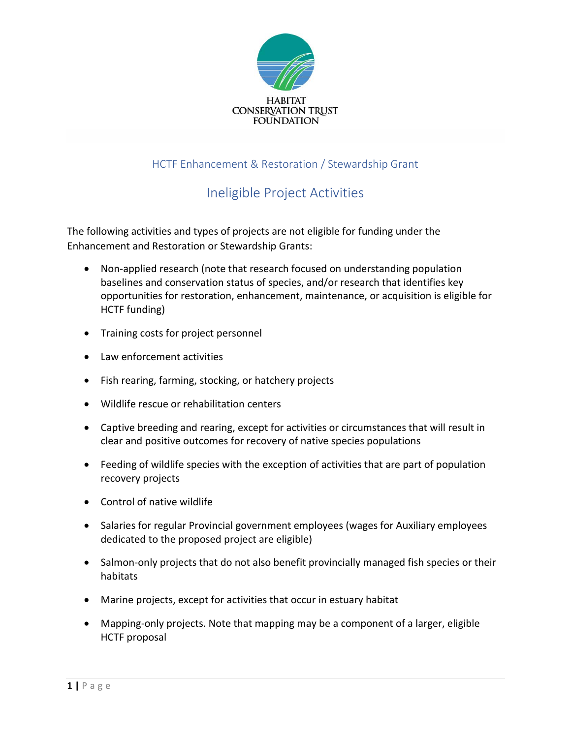

## HCTF Enhancement & Restoration / Stewardship Grant

## Ineligible Project Activities

The following activities and types of projects are not eligible for funding under the Enhancement and Restoration or Stewardship Grants:

- Non-applied research (note that research focused on understanding population baselines and conservation status of species, and/or research that identifies key opportunities for restoration, enhancement, maintenance, or acquisition is eligible for HCTF funding)
- Training costs for project personnel
- Law enforcement activities
- Fish rearing, farming, stocking, or hatchery projects
- Wildlife rescue or rehabilitation centers
- Captive breeding and rearing, except for activities or circumstances that will result in clear and positive outcomes for recovery of native species populations
- Feeding of wildlife species with the exception of activities that are part of population recovery projects
- Control of native wildlife
- Salaries for regular Provincial government employees (wages for Auxiliary employees dedicated to the proposed project are eligible)
- Salmon-only projects that do not also benefit provincially managed fish species or their habitats
- Marine projects, except for activities that occur in estuary habitat
- Mapping-only projects. Note that mapping may be a component of a larger, eligible HCTF proposal